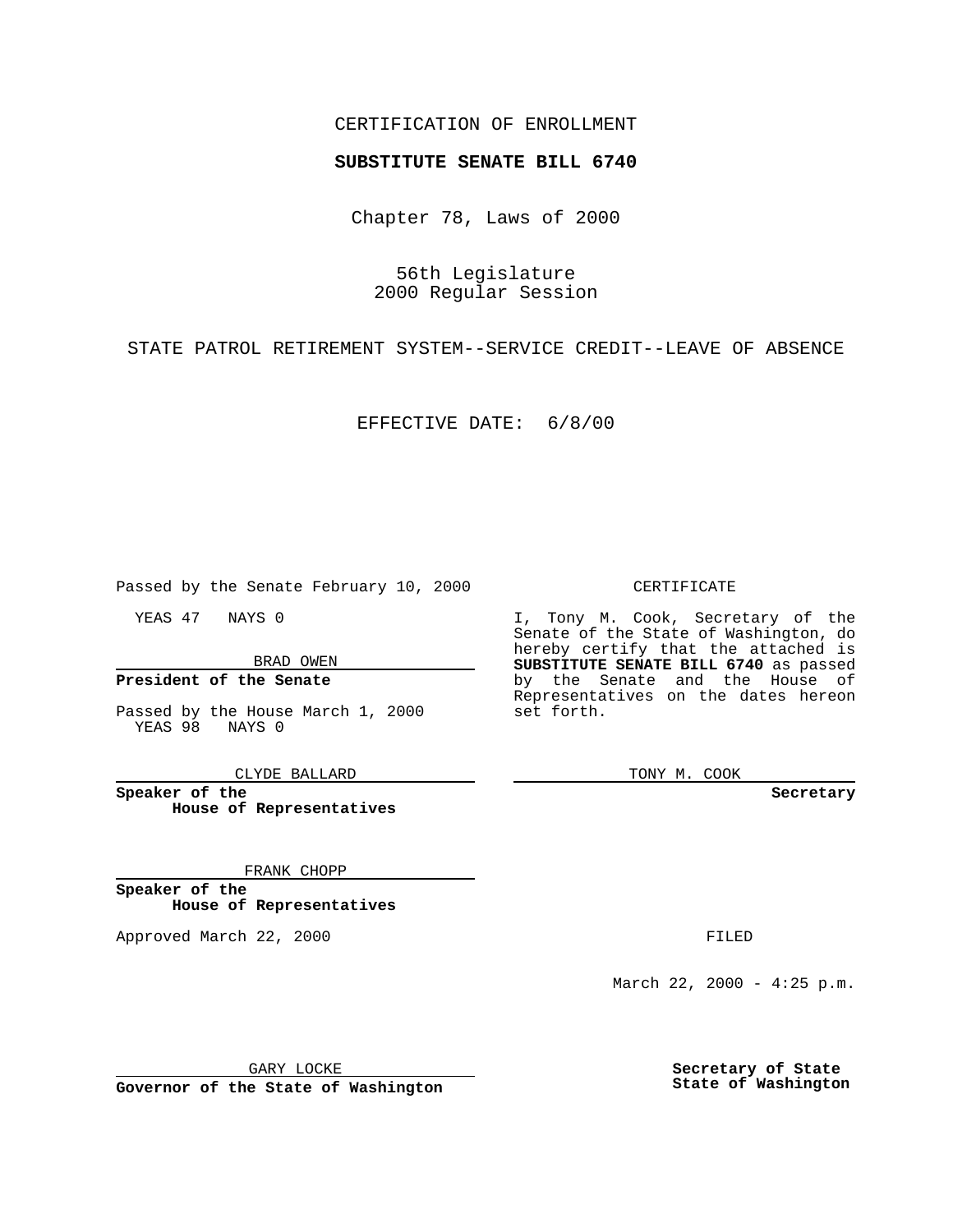## CERTIFICATION OF ENROLLMENT

# **SUBSTITUTE SENATE BILL 6740**

Chapter 78, Laws of 2000

56th Legislature 2000 Regular Session

STATE PATROL RETIREMENT SYSTEM--SERVICE CREDIT--LEAVE OF ABSENCE

EFFECTIVE DATE: 6/8/00

Passed by the Senate February 10, 2000

YEAS 47 NAYS 0

BRAD OWEN

### **President of the Senate**

Passed by the House March 1, 2000 YEAS 98 NAYS 0

CLYDE BALLARD

**Speaker of the House of Representatives**

#### FRANK CHOPP

**Speaker of the House of Representatives**

Approved March 22, 2000 FILED

#### CERTIFICATE

I, Tony M. Cook, Secretary of the Senate of the State of Washington, do hereby certify that the attached is **SUBSTITUTE SENATE BILL 6740** as passed by the Senate and the House of Representatives on the dates hereon set forth.

TONY M. COOK

**Secretary**

March 22, 2000 -  $4:25$  p.m.

GARY LOCKE

**Governor of the State of Washington**

**Secretary of State State of Washington**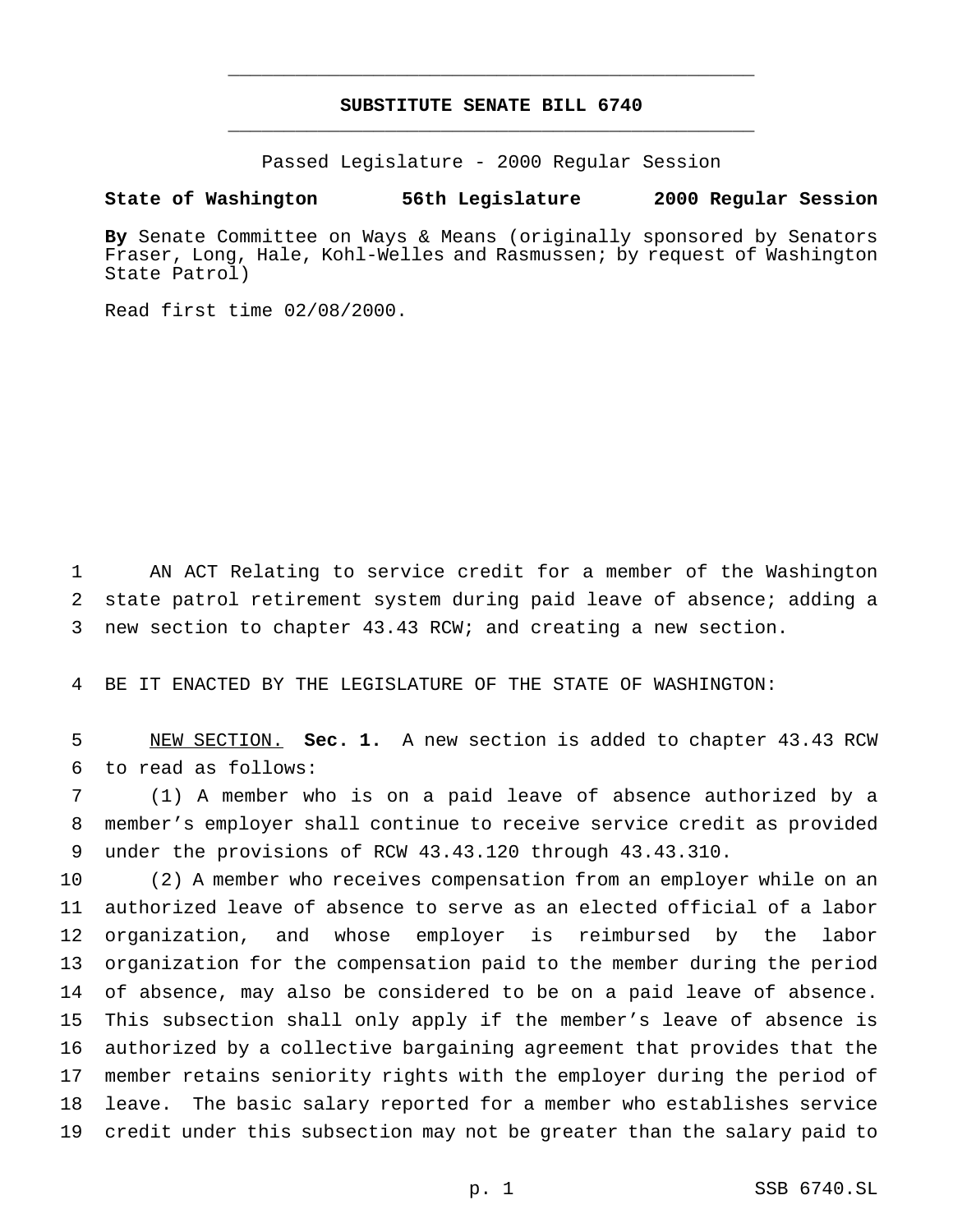## **SUBSTITUTE SENATE BILL 6740** \_\_\_\_\_\_\_\_\_\_\_\_\_\_\_\_\_\_\_\_\_\_\_\_\_\_\_\_\_\_\_\_\_\_\_\_\_\_\_\_\_\_\_\_\_\_\_

\_\_\_\_\_\_\_\_\_\_\_\_\_\_\_\_\_\_\_\_\_\_\_\_\_\_\_\_\_\_\_\_\_\_\_\_\_\_\_\_\_\_\_\_\_\_\_

Passed Legislature - 2000 Regular Session

### **State of Washington 56th Legislature 2000 Regular Session**

**By** Senate Committee on Ways & Means (originally sponsored by Senators Fraser, Long, Hale, Kohl-Welles and Rasmussen; by request of Washington State Patrol)

Read first time 02/08/2000.

 AN ACT Relating to service credit for a member of the Washington state patrol retirement system during paid leave of absence; adding a new section to chapter 43.43 RCW; and creating a new section.

BE IT ENACTED BY THE LEGISLATURE OF THE STATE OF WASHINGTON:

 NEW SECTION. **Sec. 1.** A new section is added to chapter 43.43 RCW to read as follows:

 (1) A member who is on a paid leave of absence authorized by a member's employer shall continue to receive service credit as provided under the provisions of RCW 43.43.120 through 43.43.310.

 (2) A member who receives compensation from an employer while on an authorized leave of absence to serve as an elected official of a labor organization, and whose employer is reimbursed by the labor organization for the compensation paid to the member during the period of absence, may also be considered to be on a paid leave of absence. This subsection shall only apply if the member's leave of absence is authorized by a collective bargaining agreement that provides that the member retains seniority rights with the employer during the period of leave. The basic salary reported for a member who establishes service credit under this subsection may not be greater than the salary paid to